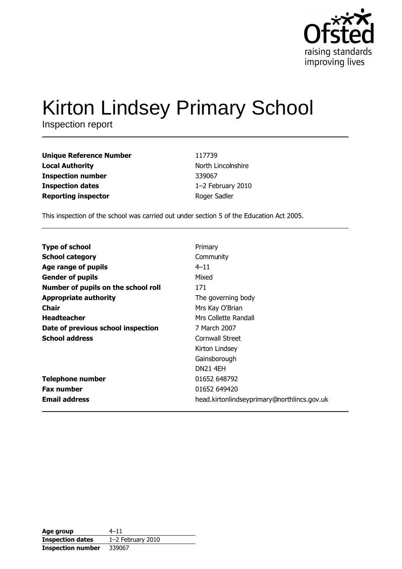

# Kirton Lindsey Primary School

Inspection report

| <b>Unique Reference Number</b> | 117739             |
|--------------------------------|--------------------|
| <b>Local Authority</b>         | North Lincolnshire |
| <b>Inspection number</b>       | 339067             |
| <b>Inspection dates</b>        | 1-2 February 2010  |
| <b>Reporting inspector</b>     | Roger Sadler       |

This inspection of the school was carried out under section 5 of the Education Act 2005.

| <b>Type of school</b>               | Primary                                     |
|-------------------------------------|---------------------------------------------|
| <b>School category</b>              | Community                                   |
| Age range of pupils                 | $4 - 11$                                    |
| <b>Gender of pupils</b>             | Mixed                                       |
| Number of pupils on the school roll | 171                                         |
| <b>Appropriate authority</b>        | The governing body                          |
| Chair                               | Mrs Kay O'Brian                             |
| <b>Headteacher</b>                  | Mrs Collette Randall                        |
| Date of previous school inspection  | 7 March 2007                                |
| <b>School address</b>               | Cornwall Street                             |
|                                     | Kirton Lindsey                              |
|                                     | Gainsborough                                |
|                                     | <b>DN21 4EH</b>                             |
| <b>Telephone number</b>             | 01652 648792                                |
| <b>Fax number</b>                   | 01652 649420                                |
| <b>Email address</b>                | head.kirtonlindseyprimary@northlincs.gov.uk |

| Age group                | $4 - 11$            |
|--------------------------|---------------------|
| <b>Inspection dates</b>  | $1-2$ February 2010 |
| <b>Inspection number</b> | 339067              |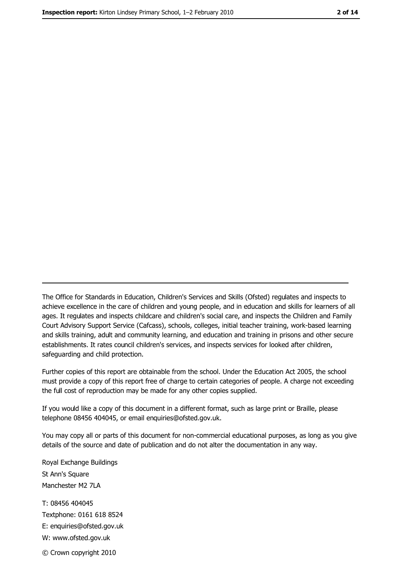The Office for Standards in Education, Children's Services and Skills (Ofsted) regulates and inspects to achieve excellence in the care of children and young people, and in education and skills for learners of all ages. It regulates and inspects childcare and children's social care, and inspects the Children and Family Court Advisory Support Service (Cafcass), schools, colleges, initial teacher training, work-based learning and skills training, adult and community learning, and education and training in prisons and other secure establishments. It rates council children's services, and inspects services for looked after children, safequarding and child protection.

Further copies of this report are obtainable from the school. Under the Education Act 2005, the school must provide a copy of this report free of charge to certain categories of people. A charge not exceeding the full cost of reproduction may be made for any other copies supplied.

If you would like a copy of this document in a different format, such as large print or Braille, please telephone 08456 404045, or email enquiries@ofsted.gov.uk.

You may copy all or parts of this document for non-commercial educational purposes, as long as you give details of the source and date of publication and do not alter the documentation in any way.

Royal Exchange Buildings St Ann's Square Manchester M2 7LA T: 08456 404045 Textphone: 0161 618 8524 E: enquiries@ofsted.gov.uk W: www.ofsted.gov.uk © Crown copyright 2010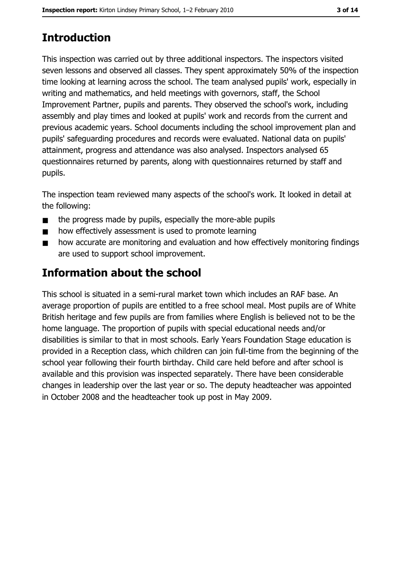# **Introduction**

This inspection was carried out by three additional inspectors. The inspectors visited seven lessons and observed all classes. They spent approximately 50% of the inspection time looking at learning across the school. The team analysed pupils' work, especially in writing and mathematics, and held meetings with governors, staff, the School Improvement Partner, pupils and parents. They observed the school's work, including assembly and play times and looked at pupils' work and records from the current and previous academic years. School documents including the school improvement plan and pupils' safeguarding procedures and records were evaluated. National data on pupils' attainment, progress and attendance was also analysed. Inspectors analysed 65 questionnaires returned by parents, along with questionnaires returned by staff and pupils.

The inspection team reviewed many aspects of the school's work. It looked in detail at the following:

- the progress made by pupils, especially the more-able pupils  $\blacksquare$
- how effectively assessment is used to promote learning  $\blacksquare$
- how accurate are monitoring and evaluation and how effectively monitoring findings  $\blacksquare$ are used to support school improvement.

# Information about the school

This school is situated in a semi-rural market town which includes an RAF base. An average proportion of pupils are entitled to a free school meal. Most pupils are of White British heritage and few pupils are from families where English is believed not to be the home language. The proportion of pupils with special educational needs and/or disabilities is similar to that in most schools. Early Years Foundation Stage education is provided in a Reception class, which children can join full-time from the beginning of the school year following their fourth birthday. Child care held before and after school is available and this provision was inspected separately. There have been considerable changes in leadership over the last year or so. The deputy headteacher was appointed in October 2008 and the headteacher took up post in May 2009.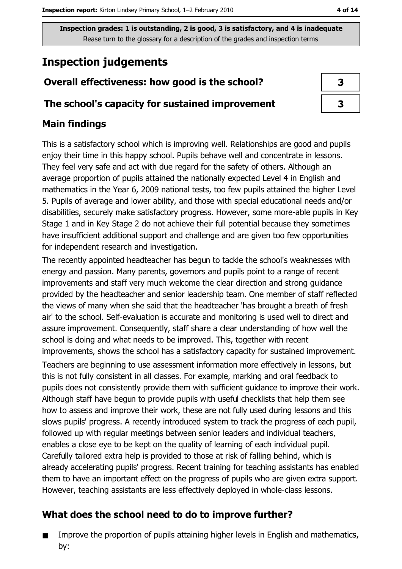# **Inspection judgements**

### Overall effectiveness: how good is the school?

#### The school's capacity for sustained improvement

### **Main findings**

This is a satisfactory school which is improving well. Relationships are good and pupils enjoy their time in this happy school. Pupils behave well and concentrate in lessons. They feel very safe and act with due regard for the safety of others. Although an average proportion of pupils attained the nationally expected Level 4 in English and mathematics in the Year 6, 2009 national tests, too few pupils attained the higher Level 5. Pupils of average and lower ability, and those with special educational needs and/or disabilities, securely make satisfactory progress. However, some more-able pupils in Key Stage 1 and in Key Stage 2 do not achieve their full potential because they sometimes have insufficient additional support and challenge and are given too few opportunities for independent research and investigation.

The recently appointed headteacher has begun to tackle the school's weaknesses with energy and passion. Many parents, governors and pupils point to a range of recent improvements and staff very much welcome the clear direction and strong guidance provided by the headteacher and senior leadership team. One member of staff reflected the views of many when she said that the headteacher 'has brought a breath of fresh air' to the school. Self-evaluation is accurate and monitoring is used well to direct and assure improvement. Consequently, staff share a clear understanding of how well the school is doing and what needs to be improved. This, together with recent improvements, shows the school has a satisfactory capacity for sustained improvement.

Teachers are beginning to use assessment information more effectively in lessons, but this is not fully consistent in all classes. For example, marking and oral feedback to pupils does not consistently provide them with sufficient guidance to improve their work. Although staff have begun to provide pupils with useful checklists that help them see how to assess and improve their work, these are not fully used during lessons and this slows pupils' progress. A recently introduced system to track the progress of each pupil, followed up with regular meetings between senior leaders and individual teachers, enables a close eye to be kept on the quality of learning of each individual pupil. Carefully tailored extra help is provided to those at risk of falling behind, which is already accelerating pupils' progress. Recent training for teaching assistants has enabled them to have an important effect on the progress of pupils who are given extra support. However, teaching assistants are less effectively deployed in whole-class lessons.

## What does the school need to do to improve further?

Improve the proportion of pupils attaining higher levels in English and mathematics,  $\blacksquare$ by: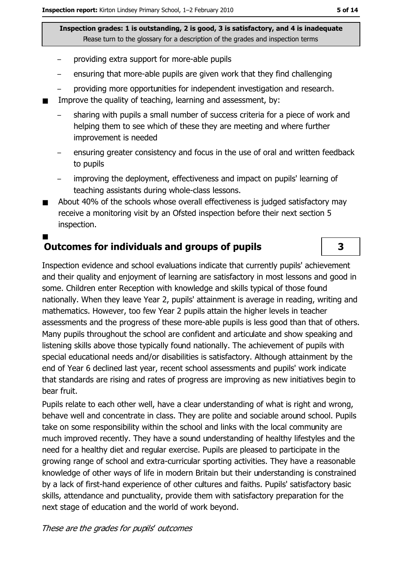- providing extra support for more-able pupils
- ensuring that more-able pupils are given work that they find challenging  $\equiv$
- providing more opportunities for independent investigation and research.
- Improve the quality of teaching, learning and assessment, by:
	- sharing with pupils a small number of success criteria for a piece of work and helping them to see which of these they are meeting and where further improvement is needed
	- ensuring greater consistency and focus in the use of oral and written feedback to pupils
	- improving the deployment, effectiveness and impact on pupils' learning of teaching assistants during whole-class lessons.
- About 40% of the schools whose overall effectiveness is judged satisfactory may  $\blacksquare$ receive a monitoring visit by an Ofsted inspection before their next section 5 inspection.

# **Outcomes for individuals and groups of pupils**

Inspection evidence and school evaluations indicate that currently pupils' achievement and their quality and enjoyment of learning are satisfactory in most lessons and good in some. Children enter Reception with knowledge and skills typical of those found nationally. When they leave Year 2, pupils' attainment is average in reading, writing and mathematics. However, too few Year 2 pupils attain the higher levels in teacher assessments and the progress of these more-able pupils is less good than that of others. Many pupils throughout the school are confident and articulate and show speaking and listening skills above those typically found nationally. The achievement of pupils with special educational needs and/or disabilities is satisfactory. Although attainment by the end of Year 6 declined last year, recent school assessments and pupils' work indicate that standards are rising and rates of progress are improving as new initiatives begin to bear fruit.

Pupils relate to each other well, have a clear understanding of what is right and wrong, behave well and concentrate in class. They are polite and sociable around school. Pupils take on some responsibility within the school and links with the local community are much improved recently. They have a sound understanding of healthy lifestyles and the need for a healthy diet and regular exercise. Pupils are pleased to participate in the growing range of school and extra-curricular sporting activities. They have a reasonable knowledge of other ways of life in modern Britain but their understanding is constrained by a lack of first-hand experience of other cultures and faiths. Pupils' satisfactory basic skills, attendance and punctuality, provide them with satisfactory preparation for the next stage of education and the world of work beyond.

3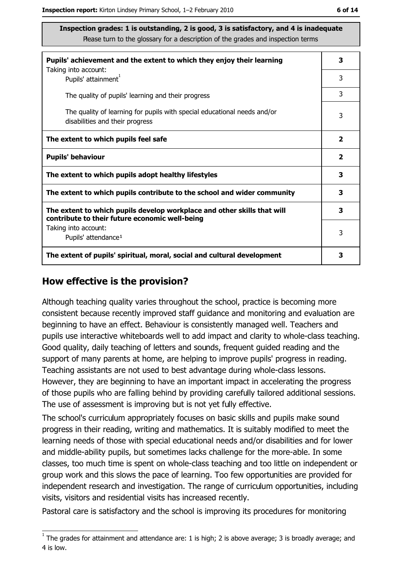| Pupils' achievement and the extent to which they enjoy their learning                                                     | 3            |
|---------------------------------------------------------------------------------------------------------------------------|--------------|
| Taking into account:<br>Pupils' attainment <sup>1</sup>                                                                   | 3            |
| The quality of pupils' learning and their progress                                                                        | 3            |
| The quality of learning for pupils with special educational needs and/or<br>disabilities and their progress               | 3            |
| The extent to which pupils feel safe                                                                                      | $\mathbf{2}$ |
| <b>Pupils' behaviour</b>                                                                                                  | $\mathbf{2}$ |
| The extent to which pupils adopt healthy lifestyles                                                                       | 3            |
| The extent to which pupils contribute to the school and wider community                                                   | 3            |
| The extent to which pupils develop workplace and other skills that will<br>contribute to their future economic well-being | 3            |
| Taking into account:<br>Pupils' attendance <sup>1</sup>                                                                   | 3            |
| The extent of pupils' spiritual, moral, social and cultural development                                                   | 3            |

### How effective is the provision?

Although teaching quality varies throughout the school, practice is becoming more consistent because recently improved staff guidance and monitoring and evaluation are beginning to have an effect. Behaviour is consistently managed well. Teachers and pupils use interactive whiteboards well to add impact and clarity to whole-class teaching. Good quality, daily teaching of letters and sounds, frequent quided reading and the support of many parents at home, are helping to improve pupils' progress in reading. Teaching assistants are not used to best advantage during whole-class lessons. However, they are beginning to have an important impact in accelerating the progress of those pupils who are falling behind by providing carefully tailored additional sessions. The use of assessment is improving but is not yet fully effective.

The school's curriculum appropriately focuses on basic skills and pupils make sound progress in their reading, writing and mathematics. It is suitably modified to meet the learning needs of those with special educational needs and/or disabilities and for lower and middle-ability pupils, but sometimes lacks challenge for the more-able. In some classes, too much time is spent on whole-class teaching and too little on independent or group work and this slows the pace of learning. Too few opportunities are provided for independent research and investigation. The range of curriculum opportunities, including visits, visitors and residential visits has increased recently.

Pastoral care is satisfactory and the school is improving its procedures for monitoring

 $\overline{1}$  The grades for attainment and attendance are: 1 is high; 2 is above average; 3 is broadly average; and 4 is low.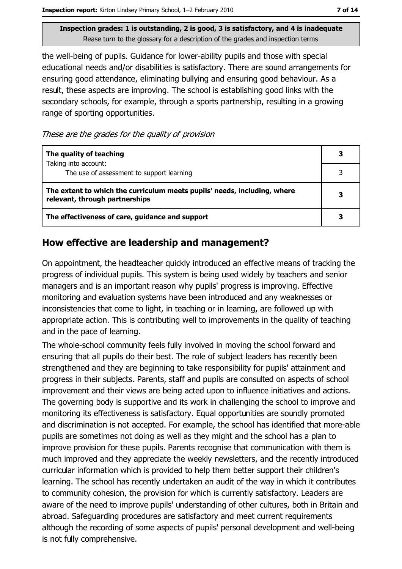the well-being of pupils. Guidance for lower-ability pupils and those with special educational needs and/or disabilities is satisfactory. There are sound arrangements for ensuring good attendance, eliminating bullying and ensuring good behaviour. As a result, these aspects are improving. The school is establishing good links with the secondary schools, for example, through a sports partnership, resulting in a growing range of sporting opportunities.

These are the grades for the quality of provision

| The quality of teaching                                                                                    |  |
|------------------------------------------------------------------------------------------------------------|--|
| Taking into account:<br>The use of assessment to support learning                                          |  |
| The extent to which the curriculum meets pupils' needs, including, where<br>relevant, through partnerships |  |
| The effectiveness of care, guidance and support                                                            |  |

### How effective are leadership and management?

On appointment, the headteacher quickly introduced an effective means of tracking the progress of individual pupils. This system is being used widely by teachers and senior managers and is an important reason why pupils' progress is improving. Effective monitoring and evaluation systems have been introduced and any weaknesses or inconsistencies that come to light, in teaching or in learning, are followed up with appropriate action. This is contributing well to improvements in the quality of teaching and in the pace of learning.

The whole-school community feels fully involved in moving the school forward and ensuring that all pupils do their best. The role of subject leaders has recently been strengthened and they are beginning to take responsibility for pupils' attainment and progress in their subjects. Parents, staff and pupils are consulted on aspects of school improvement and their views are being acted upon to influence initiatives and actions. The governing body is supportive and its work in challenging the school to improve and monitoring its effectiveness is satisfactory. Equal opportunities are soundly promoted and discrimination is not accepted. For example, the school has identified that more-able pupils are sometimes not doing as well as they might and the school has a plan to improve provision for these pupils. Parents recognise that communication with them is much improved and they appreciate the weekly newsletters, and the recently introduced curricular information which is provided to help them better support their children's learning. The school has recently undertaken an audit of the way in which it contributes to community cohesion, the provision for which is currently satisfactory. Leaders are aware of the need to improve pupils' understanding of other cultures, both in Britain and abroad. Safequarding procedures are satisfactory and meet current requirements although the recording of some aspects of pupils' personal development and well-being is not fully comprehensive.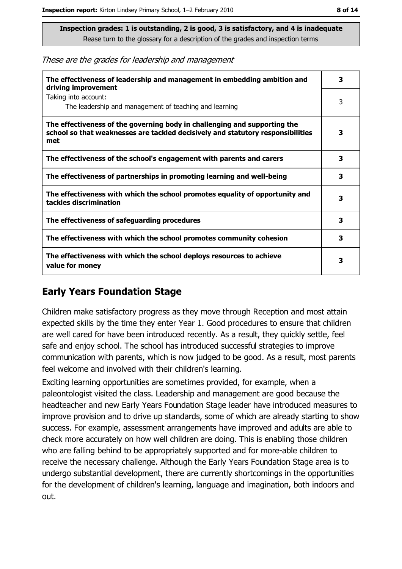These are the grades for leadership and management

| The effectiveness of leadership and management in embedding ambition and<br>driving improvement                                                                     | 3 |
|---------------------------------------------------------------------------------------------------------------------------------------------------------------------|---|
| Taking into account:<br>The leadership and management of teaching and learning                                                                                      | 3 |
| The effectiveness of the governing body in challenging and supporting the<br>school so that weaknesses are tackled decisively and statutory responsibilities<br>met | 3 |
| The effectiveness of the school's engagement with parents and carers                                                                                                | 3 |
| The effectiveness of partnerships in promoting learning and well-being                                                                                              | 3 |
| The effectiveness with which the school promotes equality of opportunity and<br>tackles discrimination                                                              | 3 |
| The effectiveness of safeguarding procedures                                                                                                                        | 3 |
| The effectiveness with which the school promotes community cohesion                                                                                                 | 3 |
| The effectiveness with which the school deploys resources to achieve<br>value for money                                                                             | 3 |

## **Early Years Foundation Stage**

Children make satisfactory progress as they move through Reception and most attain expected skills by the time they enter Year 1. Good procedures to ensure that children are well cared for have been introduced recently. As a result, they quickly settle, feel safe and enjoy school. The school has introduced successful strategies to improve communication with parents, which is now judged to be good. As a result, most parents feel welcome and involved with their children's learning.

Exciting learning opportunities are sometimes provided, for example, when a paleontologist visited the class. Leadership and management are good because the headteacher and new Early Years Foundation Stage leader have introduced measures to improve provision and to drive up standards, some of which are already starting to show success. For example, assessment arrangements have improved and adults are able to check more accurately on how well children are doing. This is enabling those children who are falling behind to be appropriately supported and for more-able children to receive the necessary challenge. Although the Early Years Foundation Stage area is to undergo substantial development, there are currently shortcomings in the opportunities for the development of children's learning, language and imagination, both indoors and out.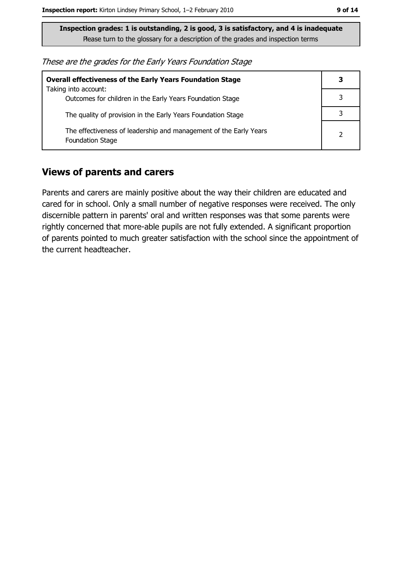These are the grades for the Early Years Foundation Stage

| <b>Overall effectiveness of the Early Years Foundation Stage</b>                             |  |  |
|----------------------------------------------------------------------------------------------|--|--|
| Taking into account:                                                                         |  |  |
| Outcomes for children in the Early Years Foundation Stage                                    |  |  |
| The quality of provision in the Early Years Foundation Stage                                 |  |  |
| The effectiveness of leadership and management of the Early Years<br><b>Foundation Stage</b> |  |  |

### **Views of parents and carers**

Parents and carers are mainly positive about the way their children are educated and cared for in school. Only a small number of negative responses were received. The only discernible pattern in parents' oral and written responses was that some parents were rightly concerned that more-able pupils are not fully extended. A significant proportion of parents pointed to much greater satisfaction with the school since the appointment of the current headteacher.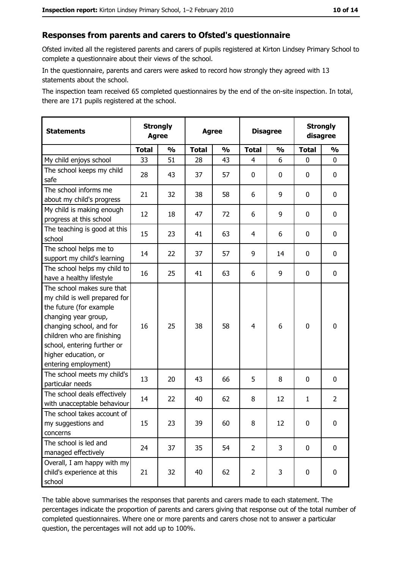#### Responses from parents and carers to Ofsted's questionnaire

Ofsted invited all the registered parents and carers of pupils registered at Kirton Lindsey Primary School to complete a questionnaire about their views of the school.

In the questionnaire, parents and carers were asked to record how strongly they agreed with 13 statements about the school.

The inspection team received 65 completed questionnaires by the end of the on-site inspection. In total, there are 171 pupils registered at the school.

| <b>Statements</b>                                                                                                                                                                                                                                       | <b>Strongly</b><br><b>Agree</b> |               | <b>Agree</b> |               | <b>Disagree</b> |               | <b>Strongly</b><br>disagree |                |
|---------------------------------------------------------------------------------------------------------------------------------------------------------------------------------------------------------------------------------------------------------|---------------------------------|---------------|--------------|---------------|-----------------|---------------|-----------------------------|----------------|
|                                                                                                                                                                                                                                                         | <b>Total</b>                    | $\frac{1}{2}$ | <b>Total</b> | $\frac{0}{0}$ | <b>Total</b>    | $\frac{0}{0}$ | <b>Total</b>                | $\frac{1}{2}$  |
| My child enjoys school                                                                                                                                                                                                                                  | 33                              | 51            | 28           | 43            | 4               | 6             | 0                           | 0              |
| The school keeps my child<br>safe                                                                                                                                                                                                                       | 28                              | 43            | 37           | 57            | $\mathbf 0$     | 0             | 0                           | 0              |
| The school informs me<br>about my child's progress                                                                                                                                                                                                      | 21                              | 32            | 38           | 58            | 6               | 9             | $\mathbf{0}$                | 0              |
| My child is making enough<br>progress at this school                                                                                                                                                                                                    | 12                              | 18            | 47           | 72            | 6               | 9             | 0                           | 0              |
| The teaching is good at this<br>school                                                                                                                                                                                                                  | 15                              | 23            | 41           | 63            | 4               | 6             | 0                           | 0              |
| The school helps me to<br>support my child's learning                                                                                                                                                                                                   | 14                              | 22            | 37           | 57            | 9               | 14            | 0                           | 0              |
| The school helps my child to<br>have a healthy lifestyle                                                                                                                                                                                                | 16                              | 25            | 41           | 63            | 6               | 9             | 0                           | 0              |
| The school makes sure that<br>my child is well prepared for<br>the future (for example<br>changing year group,<br>changing school, and for<br>children who are finishing<br>school, entering further or<br>higher education, or<br>entering employment) | 16                              | 25            | 38           | 58            | $\overline{4}$  | 6             | $\mathbf 0$                 | 0              |
| The school meets my child's<br>particular needs                                                                                                                                                                                                         | 13                              | 20            | 43           | 66            | 5               | 8             | 0                           | 0              |
| The school deals effectively<br>with unacceptable behaviour                                                                                                                                                                                             | 14                              | 22            | 40           | 62            | 8               | 12            | 1                           | $\overline{2}$ |
| The school takes account of<br>my suggestions and<br>concerns                                                                                                                                                                                           | 15                              | 23            | 39           | 60            | 8               | 12            | 0                           | 0              |
| The school is led and<br>managed effectively                                                                                                                                                                                                            | 24                              | 37            | 35           | 54            | $\overline{2}$  | 3             | 0                           | $\mathbf 0$    |
| Overall, I am happy with my<br>child's experience at this<br>school                                                                                                                                                                                     | 21                              | 32            | 40           | 62            | $\overline{2}$  | 3             | $\mathbf 0$                 | 0              |

The table above summarises the responses that parents and carers made to each statement. The percentages indicate the proportion of parents and carers giving that response out of the total number of completed questionnaires. Where one or more parents and carers chose not to answer a particular question, the percentages will not add up to 100%.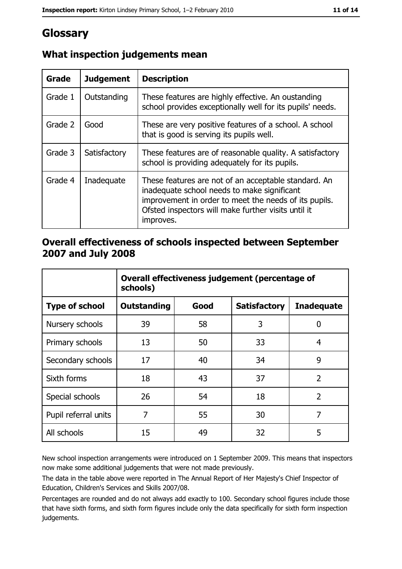# Glossary

| Grade   | <b>Judgement</b> | <b>Description</b>                                                                                                                                                                                                               |
|---------|------------------|----------------------------------------------------------------------------------------------------------------------------------------------------------------------------------------------------------------------------------|
| Grade 1 | Outstanding      | These features are highly effective. An oustanding<br>school provides exceptionally well for its pupils' needs.                                                                                                                  |
| Grade 2 | Good             | These are very positive features of a school. A school<br>that is good is serving its pupils well.                                                                                                                               |
| Grade 3 | Satisfactory     | These features are of reasonable quality. A satisfactory<br>school is providing adequately for its pupils.                                                                                                                       |
| Grade 4 | Inadequate       | These features are not of an acceptable standard. An<br>inadequate school needs to make significant<br>improvement in order to meet the needs of its pupils.<br>Ofsted inspectors will make further visits until it<br>improves. |

# What inspection judgements mean

### Overall effectiveness of schools inspected between September 2007 and July 2008

|                       | Overall effectiveness judgement (percentage of<br>schools) |      |                     |                   |
|-----------------------|------------------------------------------------------------|------|---------------------|-------------------|
| <b>Type of school</b> | Outstanding                                                | Good | <b>Satisfactory</b> | <b>Inadequate</b> |
| Nursery schools       | 39                                                         | 58   | 3                   | 0                 |
| Primary schools       | 13                                                         | 50   | 33                  | 4                 |
| Secondary schools     | 17                                                         | 40   | 34                  | 9                 |
| Sixth forms           | 18                                                         | 43   | 37                  | $\overline{2}$    |
| Special schools       | 26                                                         | 54   | 18                  | $\overline{2}$    |
| Pupil referral units  | 7                                                          | 55   | 30                  | 7                 |
| All schools           | 15                                                         | 49   | 32                  | 5                 |

New school inspection arrangements were introduced on 1 September 2009. This means that inspectors now make some additional judgements that were not made previously.

The data in the table above were reported in The Annual Report of Her Majesty's Chief Inspector of Education, Children's Services and Skills 2007/08.

Percentages are rounded and do not always add exactly to 100. Secondary school figures include those that have sixth forms, and sixth form figures include only the data specifically for sixth form inspection judgements.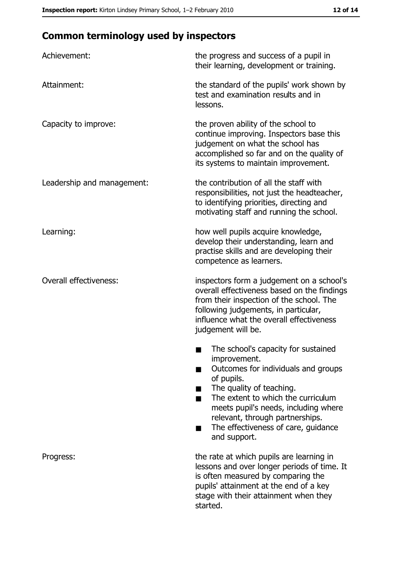# **Common terminology used by inspectors**

| Achievement:                  | the progress and success of a pupil in<br>their learning, development or training.                                                                                                                                                                                                                           |
|-------------------------------|--------------------------------------------------------------------------------------------------------------------------------------------------------------------------------------------------------------------------------------------------------------------------------------------------------------|
| Attainment:                   | the standard of the pupils' work shown by<br>test and examination results and in<br>lessons.                                                                                                                                                                                                                 |
| Capacity to improve:          | the proven ability of the school to<br>continue improving. Inspectors base this<br>judgement on what the school has<br>accomplished so far and on the quality of<br>its systems to maintain improvement.                                                                                                     |
| Leadership and management:    | the contribution of all the staff with<br>responsibilities, not just the headteacher,<br>to identifying priorities, directing and<br>motivating staff and running the school.                                                                                                                                |
| Learning:                     | how well pupils acquire knowledge,<br>develop their understanding, learn and<br>practise skills and are developing their<br>competence as learners.                                                                                                                                                          |
| <b>Overall effectiveness:</b> | inspectors form a judgement on a school's<br>overall effectiveness based on the findings<br>from their inspection of the school. The<br>following judgements, in particular,<br>influence what the overall effectiveness<br>judgement will be.                                                               |
|                               | The school's capacity for sustained<br>improvement.<br>Outcomes for individuals and groups<br>of pupils.<br>The quality of teaching.<br>The extent to which the curriculum<br>meets pupil's needs, including where<br>relevant, through partnerships.<br>The effectiveness of care, guidance<br>and support. |
| Progress:                     | the rate at which pupils are learning in<br>lessons and over longer periods of time. It<br>is often measured by comparing the<br>pupils' attainment at the end of a key<br>stage with their attainment when they<br>started.                                                                                 |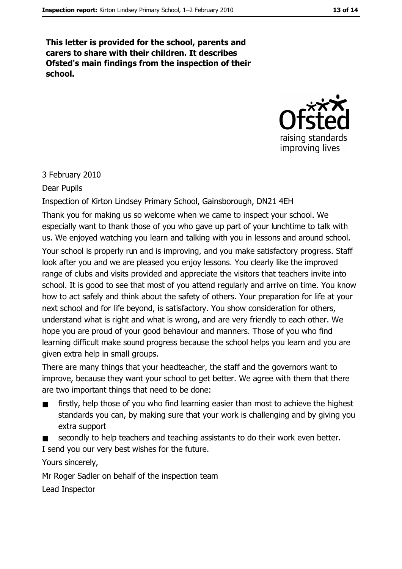This letter is provided for the school, parents and carers to share with their children. It describes Ofsted's main findings from the inspection of their school.



#### 3 February 2010

#### Dear Pupils

Inspection of Kirton Lindsey Primary School, Gainsborough, DN21 4EH

Thank you for making us so welcome when we came to inspect your school. We especially want to thank those of you who gave up part of your lunchtime to talk with us. We enjoyed watching you learn and talking with you in lessons and around school. Your school is properly run and is improving, and you make satisfactory progress. Staff look after you and we are pleased you enjoy lessons. You clearly like the improved range of clubs and visits provided and appreciate the visitors that teachers invite into school. It is good to see that most of you attend regularly and arrive on time. You know how to act safely and think about the safety of others. Your preparation for life at your next school and for life beyond, is satisfactory. You show consideration for others, understand what is right and what is wrong, and are very friendly to each other. We hope you are proud of your good behaviour and manners. Those of you who find learning difficult make sound progress because the school helps you learn and you are given extra help in small groups.

There are many things that your headteacher, the staff and the governors want to improve, because they want your school to get better. We agree with them that there are two important things that need to be done:

- firstly, help those of you who find learning easier than most to achieve the highest standards you can, by making sure that your work is challenging and by giving you extra support
- secondly to help teachers and teaching assistants to do their work even better.

I send you our very best wishes for the future.

Yours sincerely,

Mr Roger Sadler on behalf of the inspection team

Lead Inspector